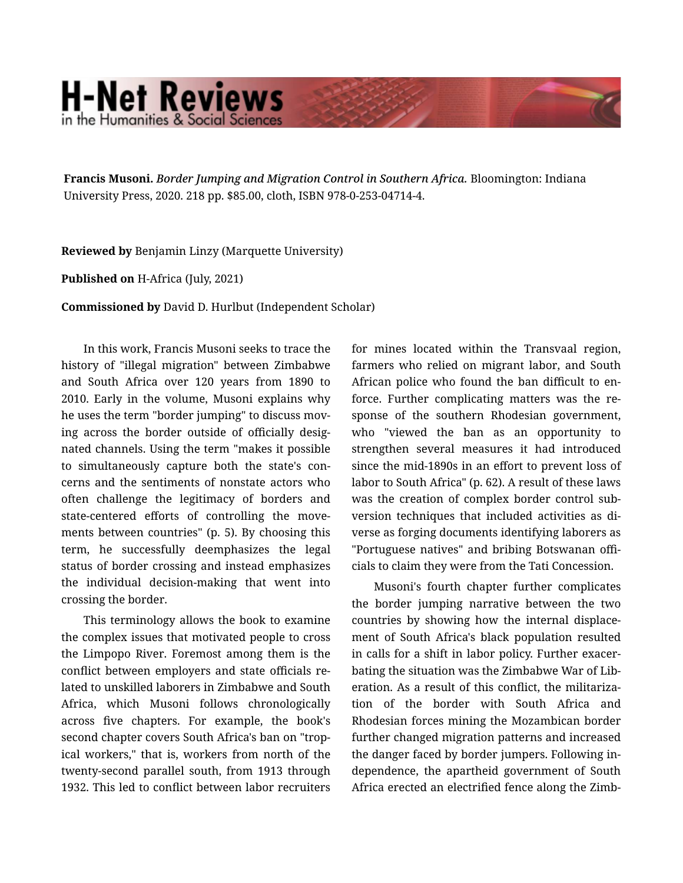## **H-Net Reviews** in the Humanities & Social Scienc

Francis Musoni. *Border Jumping and Migration Control in Southern Africa.* Bloomington: Indiana University Press, 2020. 218 pp. \$85.00, cloth, ISBN 978-0-253-04714-4.

Reviewed by Benjamin Linzy (Marquette University)

Published on H-Africa (July, 2021)

Commissioned by David D. Hurlbut (Independent Scholar)

In this work, Francis Musoni seeks to trace the history of "illegal migration" between Zimbabwe and South Africa over 120 years from 1890 to 2010. Early in the volume, Musoni explains why he uses the term "border jumping" to discuss mov‐ ing across the border outside of officially desig‐ nated channels. Using the term "makes it possible to simultaneously capture both the state's con‐ cerns and the sentiments of nonstate actors who often challenge the legitimacy of borders and state-centered efforts of controlling the movements between countries" (p. 5). By choosing this term, he successfully deemphasizes the legal status of border crossing and instead emphasizes the individual decision-making that went into crossing the border.

This terminology allows the book to examine the complex issues that motivated people to cross the Limpopo River. Foremost among them is the conflict between employers and state officials re‐ lated to unskilled laborers in Zimbabwe and South Africa, which Musoni follows chronologically across five chapters. For example, the book's second chapter covers South Africa's ban on "tropical workers," that is, workers from north of the twenty-second parallel south, from 1913 through 1932. This led to conflict between labor recruiters for mines located within the Transvaal region, farmers who relied on migrant labor, and South African police who found the ban difficult to en‐ force. Further complicating matters was the re‐ sponse of the southern Rhodesian government, who "viewed the ban as an opportunity to strengthen several measures it had introduced since the mid-1890s in an effort to prevent loss of labor to South Africa" (p. 62). A result of these laws was the creation of complex border control subversion techniques that included activities as di‐ verse as forging documents identifying laborers as "Portuguese natives" and bribing Botswanan offi‐ cials to claim they were from the Tati Concession.

Musoni's fourth chapter further complicates the border jumping narrative between the two countries by showing how the internal displace‐ ment of South Africa's black population resulted in calls for a shift in labor policy. Further exacer‐ bating the situation was the Zimbabwe War of Lib‐ eration. As a result of this conflict, the militariza‐ tion of the border with South Africa and Rhodesian forces mining the Mozambican border further changed migration patterns and increased the danger faced by border jumpers. Following in‐ dependence, the apartheid government of South Africa erected an electrified fence along the Zimb‐